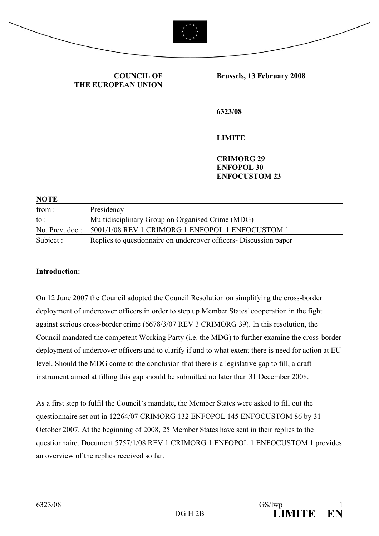



**COUNCIL OF THE EUROPEAN UNION** **Brussels, 13 February 2008** 

**6323/08** 

**LIMITE** 

**CRIMORG 29 ENFOPOL 30 ENFOCUSTOM 23** 

| <b>NOTE</b> |                                                                    |
|-------------|--------------------------------------------------------------------|
| from :      | Presidency                                                         |
| to :        | Multidisciplinary Group on Organised Crime (MDG)                   |
|             | No. Prev. doc.: 5001/1/08 REV 1 CRIMORG 1 ENFOPOL 1 ENFOCUSTOM 1   |
| Subject :   | Replies to questionnaire on undercover officers - Discussion paper |

#### **Introduction:**

On 12 June 2007 the Council adopted the Council Resolution on simplifying the cross-border deployment of undercover officers in order to step up Member States' cooperation in the fight against serious cross-border crime (6678/3/07 REV 3 CRIMORG 39). In this resolution, the Council mandated the competent Working Party (i.e. the MDG) to further examine the cross-border deployment of undercover officers and to clarify if and to what extent there is need for action at EU level. Should the MDG come to the conclusion that there is a legislative gap to fill, a draft instrument aimed at filling this gap should be submitted no later than 31 December 2008.

As a first step to fulfil the Council's mandate, the Member States were asked to fill out the questionnaire set out in 12264/07 CRIMORG 132 ENFOPOL 145 ENFOCUSTOM 86 by 31 October 2007. At the beginning of 2008, 25 Member States have sent in their replies to the questionnaire. Document 5757/1/08 REV 1 CRIMORG 1 ENFOPOL 1 ENFOCUSTOM 1 provides an overview of the replies received so far.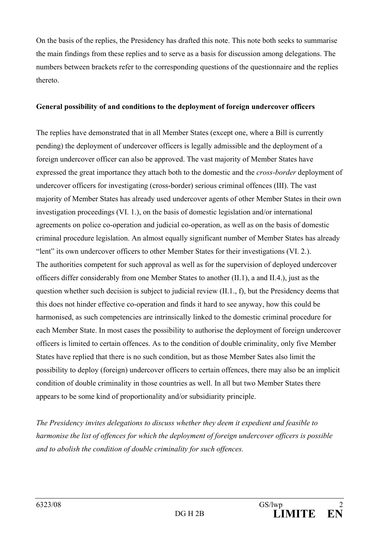On the basis of the replies, the Presidency has drafted this note. This note both seeks to summarise the main findings from these replies and to serve as a basis for discussion among delegations. The numbers between brackets refer to the corresponding questions of the questionnaire and the replies thereto.

## **General possibility of and conditions to the deployment of foreign undercover officers**

The replies have demonstrated that in all Member States (except one, where a Bill is currently pending) the deployment of undercover officers is legally admissible and the deployment of a foreign undercover officer can also be approved. The vast majority of Member States have expressed the great importance they attach both to the domestic and the *cross-border* deployment of undercover officers for investigating (cross-border) serious criminal offences (III). The vast majority of Member States has already used undercover agents of other Member States in their own investigation proceedings (VI. 1.), on the basis of domestic legislation and/or international agreements on police co-operation and judicial co-operation, as well as on the basis of domestic criminal procedure legislation. An almost equally significant number of Member States has already "lent" its own undercover officers to other Member States for their investigations (VI. 2.). The authorities competent for such approval as well as for the supervision of deployed undercover officers differ considerably from one Member States to another (II.1), a and II.4.), just as the question whether such decision is subject to judicial review  $(II.1, f)$ , but the Presidency deems that this does not hinder effective co-operation and finds it hard to see anyway, how this could be harmonised, as such competencies are intrinsically linked to the domestic criminal procedure for each Member State. In most cases the possibility to authorise the deployment of foreign undercover officers is limited to certain offences. As to the condition of double criminality, only five Member States have replied that there is no such condition, but as those Member Sates also limit the possibility to deploy (foreign) undercover officers to certain offences, there may also be an implicit condition of double criminality in those countries as well. In all but two Member States there appears to be some kind of proportionality and/or subsidiarity principle.

*The Presidency invites delegations to discuss whether they deem it expedient and feasible to harmonise the list of offences for which the deployment of foreign undercover officers is possible and to abolish the condition of double criminality for such offences.*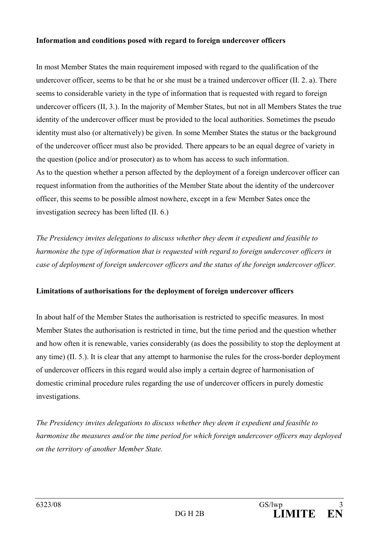#### **Information and conditions posed with regard to foreign undercover officers**

In most Member States the main requirement imposed with regard to the qualification of the undercover officer, seems to be that he or she must be a trained undercover officer (II. 2. a). There seems to considerable variety in the type of information that is requested with regard to foreign undercover officers (II, 3.). In the majority of Member States, but not in all Members States the true identity of the undercover officer must be provided to the local authorities. Sometimes the pseudo identity must also (or alternatively) be given. In some Member States the status or the background of the undercover officer must also be provided. There appears to be an equal degree of variety in the question (police and/or prosecutor) as to whom has access to such information. As to the question whether a person affected by the deployment of a foreign undercover officer can request information from the authorities of the Member State about the identity of the undercover officer, this seems to be possible almost nowhere, except in a few Member Sates once the investigation secrecy has been lifted (II. 6.)

*The Presidency invites delegations to discuss whether they deem it expedient and feasible to harmonise the type of information that is requested with regard to foreign undercover officers in case of deployment of foreign undercover officers and the status of the foreign undercover officer.*

# **Limitations of authorisations for the deployment of foreign undercover officers**

In about half of the Member States the authorisation is restricted to specific measures. In most Member States the authorisation is restricted in time, but the time period and the question whether and how often it is renewable, varies considerably (as does the possibility to stop the deployment at any time) (II. 5.). It is clear that any attempt to harmonise the rules for the cross-border deployment of undercover officers in this regard would also imply a certain degree of harmonisation of domestic criminal procedure rules regarding the use of undercover officers in purely domestic investigations.

*The Presidency invites delegations to discuss whether they deem it expedient and feasible to harmonise the measures and/or the time period for which foreign undercover officers may deployed on the territory of another Member State.*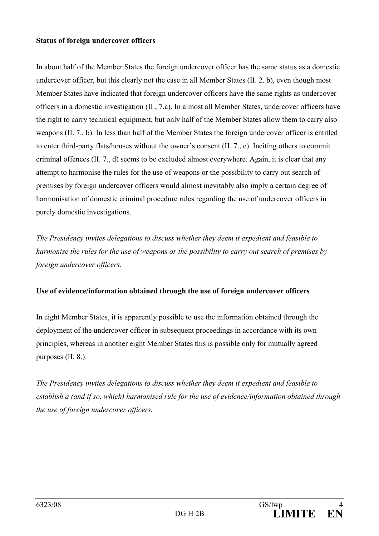#### **Status of foreign undercover officers**

In about half of the Member States the foreign undercover officer has the same status as a domestic undercover officer, but this clearly not the case in all Member States (II. 2. b), even though most Member States have indicated that foreign undercover officers have the same rights as undercover officers in a domestic investigation (II., 7.a). In almost all Member States, undercover officers have the right to carry technical equipment, but only half of the Member States allow them to carry also weapons (II. 7., b). In less than half of the Member States the foreign undercover officer is entitled to enter third-party flats/houses without the owner's consent (II. 7., c). Inciting others to commit criminal offences (II. 7., d) seems to be excluded almost everywhere. Again, it is clear that any attempt to harmonise the rules for the use of weapons or the possibility to carry out search of premises by foreign undercover officers would almost inevitably also imply a certain degree of harmonisation of domestic criminal procedure rules regarding the use of undercover officers in purely domestic investigations.

*The Presidency invites delegations to discuss whether they deem it expedient and feasible to harmonise the rules for the use of weapons or the possibility to carry out search of premises by foreign undercover officers.*

# **Use of evidence/information obtained through the use of foreign undercover officers**

In eight Member States, it is apparently possible to use the information obtained through the deployment of the undercover officer in subsequent proceedings in accordance with its own principles, whereas in another eight Member States this is possible only for mutually agreed purposes (II, 8.).

*The Presidency invites delegations to discuss whether they deem it expedient and feasible to establish a (and if so, which) harmonised rule for the use of evidence/information obtained through the use of foreign undercover officers.*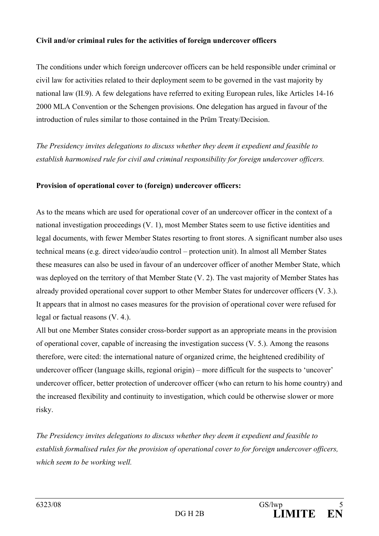## **Civil and/or criminal rules for the activities of foreign undercover officers**

The conditions under which foreign undercover officers can be held responsible under criminal or civil law for activities related to their deployment seem to be governed in the vast majority by national law (II.9). A few delegations have referred to exiting European rules, like Articles 14-16 2000 MLA Convention or the Schengen provisions. One delegation has argued in favour of the introduction of rules similar to those contained in the Prüm Treaty/Decision.

*The Presidency invites delegations to discuss whether they deem it expedient and feasible to establish harmonised rule for civil and criminal responsibility for foreign undercover officers.* 

## **Provision of operational cover to (foreign) undercover officers:**

As to the means which are used for operational cover of an undercover officer in the context of a national investigation proceedings (V. 1), most Member States seem to use fictive identities and legal documents, with fewer Member States resorting to front stores. A significant number also uses technical means (e.g. direct video/audio control – protection unit). In almost all Member States these measures can also be used in favour of an undercover officer of another Member State, which was deployed on the territory of that Member State (V. 2). The vast majority of Member States has already provided operational cover support to other Member States for undercover officers (V. 3.). It appears that in almost no cases measures for the provision of operational cover were refused for legal or factual reasons (V. 4.).

All but one Member States consider cross-border support as an appropriate means in the provision of operational cover, capable of increasing the investigation success (V. 5.). Among the reasons therefore, were cited: the international nature of organized crime, the heightened credibility of undercover officer (language skills, regional origin) – more difficult for the suspects to 'uncover' undercover officer, better protection of undercover officer (who can return to his home country) and the increased flexibility and continuity to investigation, which could be otherwise slower or more risky.

*The Presidency invites delegations to discuss whether they deem it expedient and feasible to establish formalised rules for the provision of operational cover to for foreign undercover officers, which seem to be working well.*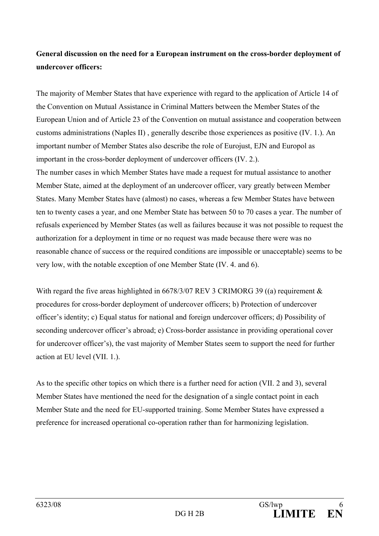# **General discussion on the need for a European instrument on the cross-border deployment of undercover officers:**

The majority of Member States that have experience with regard to the application of Article 14 of the Convention on Mutual Assistance in Criminal Matters between the Member States of the European Union and of Article 23 of the Convention on mutual assistance and cooperation between customs administrations (Naples II) , generally describe those experiences as positive (IV. 1.). An important number of Member States also describe the role of Eurojust, EJN and Europol as important in the cross-border deployment of undercover officers (IV. 2.). The number cases in which Member States have made a request for mutual assistance to another Member State, aimed at the deployment of an undercover officer, vary greatly between Member States. Many Member States have (almost) no cases, whereas a few Member States have between

ten to twenty cases a year, and one Member State has between 50 to 70 cases a year. The number of refusals experienced by Member States (as well as failures because it was not possible to request the authorization for a deployment in time or no request was made because there were was no reasonable chance of success or the required conditions are impossible or unacceptable) seems to be very low, with the notable exception of one Member State (IV. 4. and 6).

With regard the five areas highlighted in 6678/3/07 REV 3 CRIMORG 39 ((a) requirement  $\&$ procedures for cross-border deployment of undercover officers; b) Protection of undercover officer's identity; c) Equal status for national and foreign undercover officers; d) Possibility of seconding undercover officer's abroad; e) Cross-border assistance in providing operational cover for undercover officer's), the vast majority of Member States seem to support the need for further action at EU level (VII. 1.).

As to the specific other topics on which there is a further need for action (VII. 2 and 3), several Member States have mentioned the need for the designation of a single contact point in each Member State and the need for EU-supported training. Some Member States have expressed a preference for increased operational co-operation rather than for harmonizing legislation.